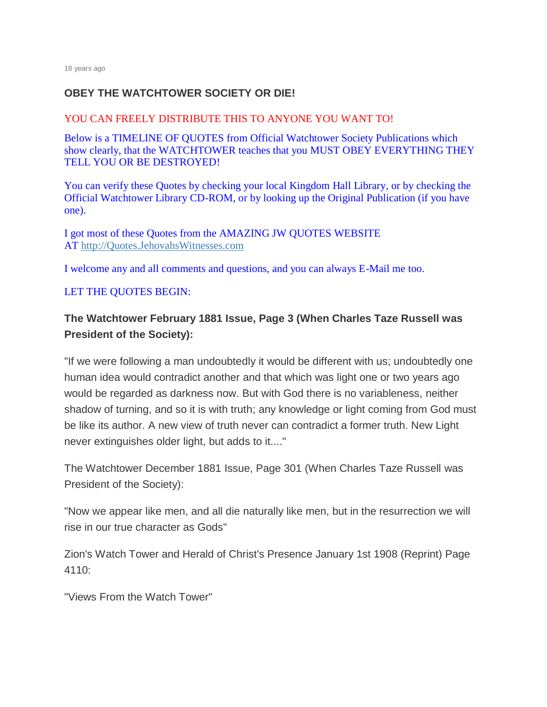## **OBEY THE WATCHTOWER SOCIETY OR DIE!**

#### YOU CAN FREELY DISTRIBUTE THIS TO ANYONE YOU WANT TO!

Below is a TIMELINE OF QUOTES from Official Watchtower Society Publications which show clearly, that the WATCHTOWER teaches that you MUST OBEY EVERYTHING THEY TELL YOU OR BE DESTROYED!

You can verify these Quotes by checking your local Kingdom Hall Library, or by checking the Official Watchtower Library CD-ROM, or by looking up the Original Publication (if you have one).

I got most of these Quotes from the AMAZING JW QUOTES WEBSITE AT [http://Quotes.JehovahsWitnesses.com](http://quotes.jehovahswitnesses.com/)

I welcome any and all comments and questions, and you can always E-Mail me too.

#### LET THE QUOTES BEGIN:

# **The Watchtower February 1881 Issue, Page 3 (When Charles Taze Russell was President of the Society):**

"If we were following a man undoubtedly it would be different with us; undoubtedly one human idea would contradict another and that which was light one or two years ago would be regarded as darkness now. But with God there is no variableness, neither shadow of turning, and so it is with truth; any knowledge or light coming from God must be like its author. A new view of truth never can contradict a former truth. New Light never extinguishes older light, but adds to it...."

The Watchtower December 1881 Issue, Page 301 (When Charles Taze Russell was President of the Society):

"Now we appear like men, and all die naturally like men, but in the resurrection we will rise in our true character as Gods"

Zion's Watch Tower and Herald of Christ's Presence January 1st 1908 (Reprint) Page 4110:

"Views From the Watch Tower"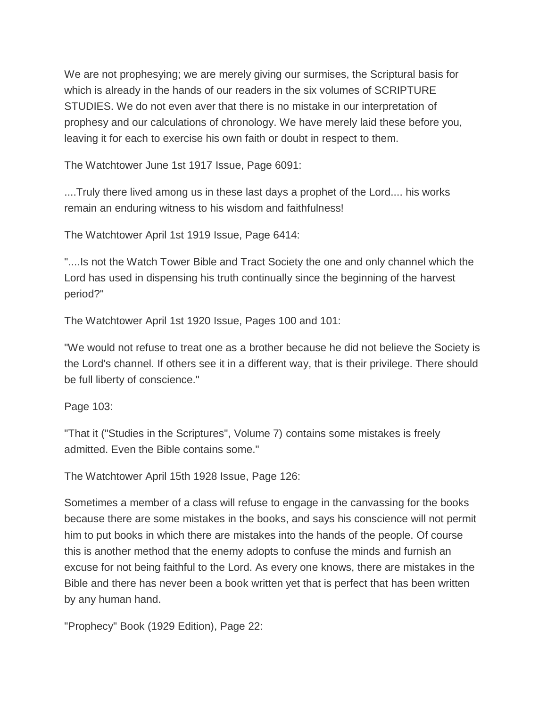We are not prophesying; we are merely giving our surmises, the Scriptural basis for which is already in the hands of our readers in the six volumes of SCRIPTURE STUDIES. We do not even aver that there is no mistake in our interpretation of prophesy and our calculations of chronology. We have merely laid these before you, leaving it for each to exercise his own faith or doubt in respect to them.

The Watchtower June 1st 1917 Issue, Page 6091:

....Truly there lived among us in these last days a prophet of the Lord.... his works remain an enduring witness to his wisdom and faithfulness!

The Watchtower April 1st 1919 Issue, Page 6414:

"....Is not the Watch Tower Bible and Tract Society the one and only channel which the Lord has used in dispensing his truth continually since the beginning of the harvest period?"

The Watchtower April 1st 1920 Issue, Pages 100 and 101:

"We would not refuse to treat one as a brother because he did not believe the Society is the Lord's channel. If others see it in a different way, that is their privilege. There should be full liberty of conscience."

Page 103:

"That it ("Studies in the Scriptures", Volume 7) contains some mistakes is freely admitted. Even the Bible contains some."

The Watchtower April 15th 1928 Issue, Page 126:

Sometimes a member of a class will refuse to engage in the canvassing for the books because there are some mistakes in the books, and says his conscience will not permit him to put books in which there are mistakes into the hands of the people. Of course this is another method that the enemy adopts to confuse the minds and furnish an excuse for not being faithful to the Lord. As every one knows, there are mistakes in the Bible and there has never been a book written yet that is perfect that has been written by any human hand.

"Prophecy" Book (1929 Edition), Page 22: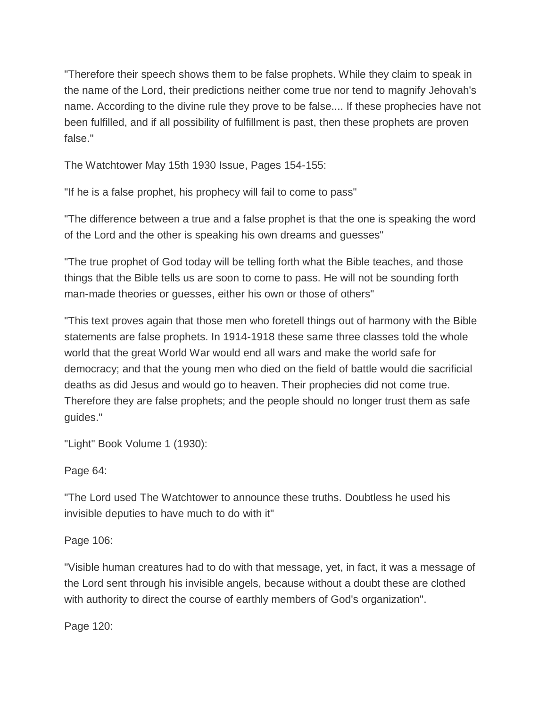"Therefore their speech shows them to be false prophets. While they claim to speak in the name of the Lord, their predictions neither come true nor tend to magnify Jehovah's name. According to the divine rule they prove to be false.... If these prophecies have not been fulfilled, and if all possibility of fulfillment is past, then these prophets are proven false."

The Watchtower May 15th 1930 Issue, Pages 154-155:

"If he is a false prophet, his prophecy will fail to come to pass"

"The difference between a true and a false prophet is that the one is speaking the word of the Lord and the other is speaking his own dreams and guesses"

"The true prophet of God today will be telling forth what the Bible teaches, and those things that the Bible tells us are soon to come to pass. He will not be sounding forth man-made theories or guesses, either his own or those of others"

"This text proves again that those men who foretell things out of harmony with the Bible statements are false prophets. In 1914-1918 these same three classes told the whole world that the great World War would end all wars and make the world safe for democracy; and that the young men who died on the field of battle would die sacrificial deaths as did Jesus and would go to heaven. Their prophecies did not come true. Therefore they are false prophets; and the people should no longer trust them as safe guides."

"Light" Book Volume 1 (1930):

Page 64:

"The Lord used The Watchtower to announce these truths. Doubtless he used his invisible deputies to have much to do with it"

Page 106:

"Visible human creatures had to do with that message, yet, in fact, it was a message of the Lord sent through his invisible angels, because without a doubt these are clothed with authority to direct the course of earthly members of God's organization".

Page 120: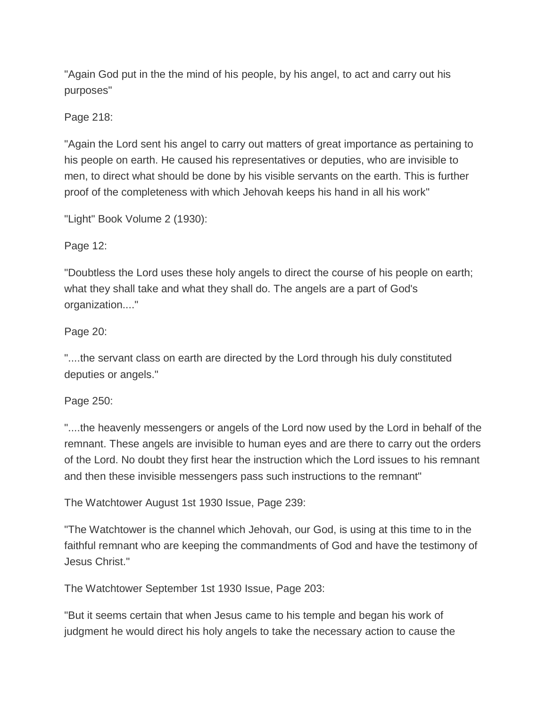"Again God put in the the mind of his people, by his angel, to act and carry out his purposes"

Page 218:

"Again the Lord sent his angel to carry out matters of great importance as pertaining to his people on earth. He caused his representatives or deputies, who are invisible to men, to direct what should be done by his visible servants on the earth. This is further proof of the completeness with which Jehovah keeps his hand in all his work"

"Light" Book Volume 2 (1930):

Page 12:

"Doubtless the Lord uses these holy angels to direct the course of his people on earth; what they shall take and what they shall do. The angels are a part of God's organization...."

Page 20:

"....the servant class on earth are directed by the Lord through his duly constituted deputies or angels."

Page 250:

"....the heavenly messengers or angels of the Lord now used by the Lord in behalf of the remnant. These angels are invisible to human eyes and are there to carry out the orders of the Lord. No doubt they first hear the instruction which the Lord issues to his remnant and then these invisible messengers pass such instructions to the remnant"

The Watchtower August 1st 1930 Issue, Page 239:

"The Watchtower is the channel which Jehovah, our God, is using at this time to in the faithful remnant who are keeping the commandments of God and have the testimony of Jesus Christ."

The Watchtower September 1st 1930 Issue, Page 203:

"But it seems certain that when Jesus came to his temple and began his work of judgment he would direct his holy angels to take the necessary action to cause the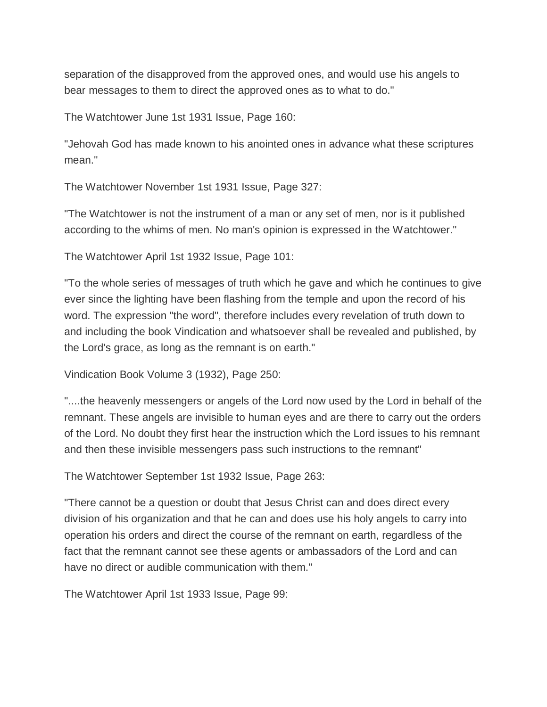separation of the disapproved from the approved ones, and would use his angels to bear messages to them to direct the approved ones as to what to do."

The Watchtower June 1st 1931 Issue, Page 160:

"Jehovah God has made known to his anointed ones in advance what these scriptures mean."

The Watchtower November 1st 1931 Issue, Page 327:

"The Watchtower is not the instrument of a man or any set of men, nor is it published according to the whims of men. No man's opinion is expressed in the Watchtower."

The Watchtower April 1st 1932 Issue, Page 101:

"To the whole series of messages of truth which he gave and which he continues to give ever since the lighting have been flashing from the temple and upon the record of his word. The expression "the word", therefore includes every revelation of truth down to and including the book Vindication and whatsoever shall be revealed and published, by the Lord's grace, as long as the remnant is on earth."

Vindication Book Volume 3 (1932), Page 250:

"....the heavenly messengers or angels of the Lord now used by the Lord in behalf of the remnant. These angels are invisible to human eyes and are there to carry out the orders of the Lord. No doubt they first hear the instruction which the Lord issues to his remnant and then these invisible messengers pass such instructions to the remnant"

The Watchtower September 1st 1932 Issue, Page 263:

"There cannot be a question or doubt that Jesus Christ can and does direct every division of his organization and that he can and does use his holy angels to carry into operation his orders and direct the course of the remnant on earth, regardless of the fact that the remnant cannot see these agents or ambassadors of the Lord and can have no direct or audible communication with them."

The Watchtower April 1st 1933 Issue, Page 99: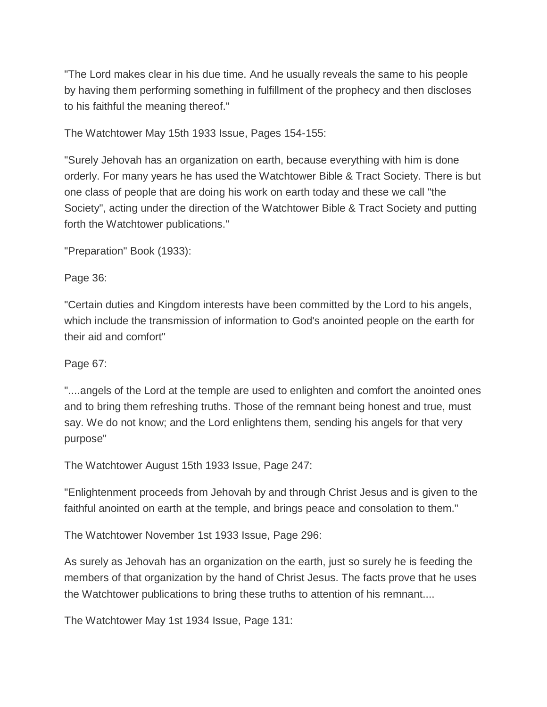"The Lord makes clear in his due time. And he usually reveals the same to his people by having them performing something in fulfillment of the prophecy and then discloses to his faithful the meaning thereof."

The Watchtower May 15th 1933 Issue, Pages 154-155:

"Surely Jehovah has an organization on earth, because everything with him is done orderly. For many years he has used the Watchtower Bible & Tract Society. There is but one class of people that are doing his work on earth today and these we call "the Society", acting under the direction of the Watchtower Bible & Tract Society and putting forth the Watchtower publications."

"Preparation" Book (1933):

Page 36:

"Certain duties and Kingdom interests have been committed by the Lord to his angels, which include the transmission of information to God's anointed people on the earth for their aid and comfort"

Page 67:

"....angels of the Lord at the temple are used to enlighten and comfort the anointed ones and to bring them refreshing truths. Those of the remnant being honest and true, must say. We do not know; and the Lord enlightens them, sending his angels for that very purpose"

The Watchtower August 15th 1933 Issue, Page 247:

"Enlightenment proceeds from Jehovah by and through Christ Jesus and is given to the faithful anointed on earth at the temple, and brings peace and consolation to them."

The Watchtower November 1st 1933 Issue, Page 296:

As surely as Jehovah has an organization on the earth, just so surely he is feeding the members of that organization by the hand of Christ Jesus. The facts prove that he uses the Watchtower publications to bring these truths to attention of his remnant....

The Watchtower May 1st 1934 Issue, Page 131: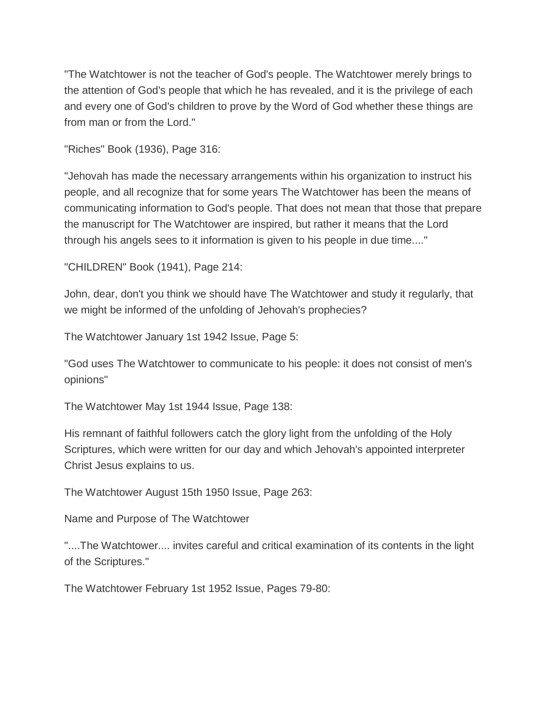"The Watchtower is not the teacher of God's people. The Watchtower merely brings to the attention of God's people that which he has revealed, and it is the privilege of each and every one of God's children to prove by the Word of God whether these things are from man or from the Lord."

"Riches" Book (1936), Page 316:

"Jehovah has made the necessary arrangements within his organization to instruct his people, and all recognize that for some years The Watchtower has been the means of communicating information to God's people. That does not mean that those that prepare the manuscript for The Watchtower are inspired, but rather it means that the Lord through his angels sees to it information is given to his people in due time...."

"CHILDREN" Book (1941), Page 214:

John, dear, don't you think we should have The Watchtower and study it regularly, that we might be informed of the unfolding of Jehovah's prophecies?

The Watchtower January 1st 1942 Issue, Page 5:

"God uses The Watchtower to communicate to his people: it does not consist of men's opinions"

The Watchtower May 1st 1944 Issue, Page 138:

His remnant of faithful followers catch the glory light from the unfolding of the Holy Scriptures, which were written for our day and which Jehovah's appointed interpreter Christ Jesus explains to us.

The Watchtower August 15th 1950 Issue, Page 263:

Name and Purpose of The Watchtower

"....The Watchtower.... invites careful and critical examination of its contents in the light of the Scriptures."

The Watchtower February 1st 1952 Issue, Pages 79-80: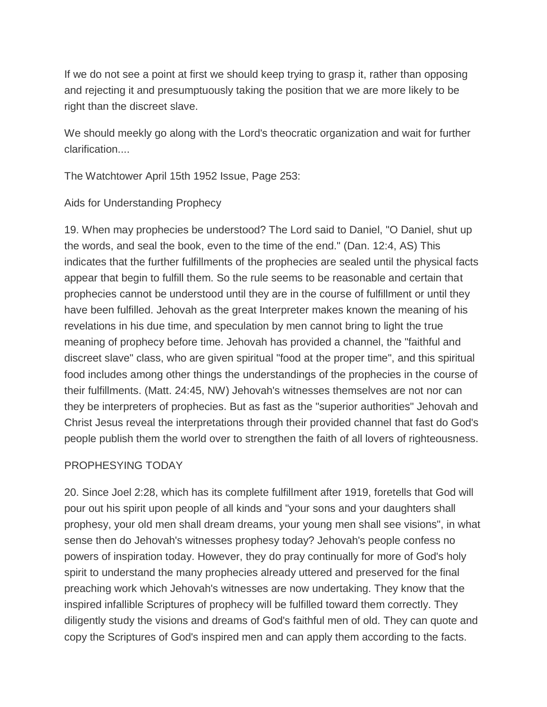If we do not see a point at first we should keep trying to grasp it, rather than opposing and rejecting it and presumptuously taking the position that we are more likely to be right than the discreet slave.

We should meekly go along with the Lord's theocratic organization and wait for further clarification....

The Watchtower April 15th 1952 Issue, Page 253:

Aids for Understanding Prophecy

19. When may prophecies be understood? The Lord said to Daniel, "O Daniel, shut up the words, and seal the book, even to the time of the end." (Dan. 12:4, AS) This indicates that the further fulfillments of the prophecies are sealed until the physical facts appear that begin to fulfill them. So the rule seems to be reasonable and certain that prophecies cannot be understood until they are in the course of fulfillment or until they have been fulfilled. Jehovah as the great Interpreter makes known the meaning of his revelations in his due time, and speculation by men cannot bring to light the true meaning of prophecy before time. Jehovah has provided a channel, the "faithful and discreet slave" class, who are given spiritual "food at the proper time", and this spiritual food includes among other things the understandings of the prophecies in the course of their fulfillments. (Matt. 24:45, NW) Jehovah's witnesses themselves are not nor can they be interpreters of prophecies. But as fast as the "superior authorities" Jehovah and Christ Jesus reveal the interpretations through their provided channel that fast do God's people publish them the world over to strengthen the faith of all lovers of righteousness.

# PROPHESYING TODAY

20. Since Joel 2:28, which has its complete fulfillment after 1919, foretells that God will pour out his spirit upon people of all kinds and "your sons and your daughters shall prophesy, your old men shall dream dreams, your young men shall see visions", in what sense then do Jehovah's witnesses prophesy today? Jehovah's people confess no powers of inspiration today. However, they do pray continually for more of God's holy spirit to understand the many prophecies already uttered and preserved for the final preaching work which Jehovah's witnesses are now undertaking. They know that the inspired infallible Scriptures of prophecy will be fulfilled toward them correctly. They diligently study the visions and dreams of God's faithful men of old. They can quote and copy the Scriptures of God's inspired men and can apply them according to the facts.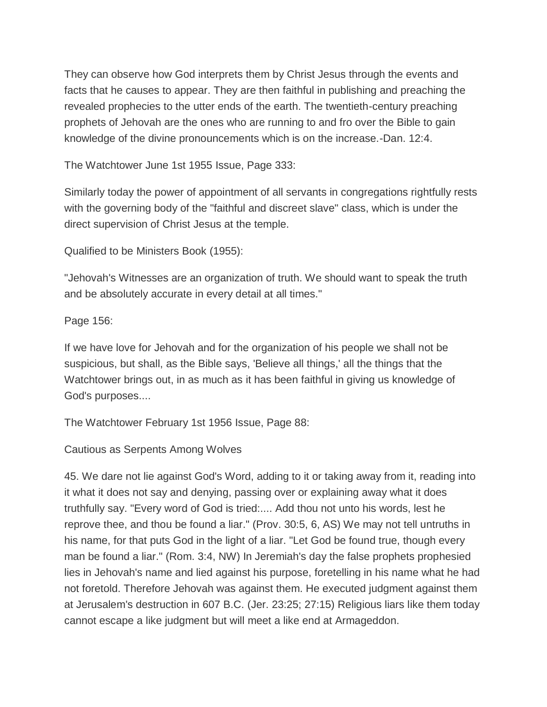They can observe how God interprets them by Christ Jesus through the events and facts that he causes to appear. They are then faithful in publishing and preaching the revealed prophecies to the utter ends of the earth. The twentieth-century preaching prophets of Jehovah are the ones who are running to and fro over the Bible to gain knowledge of the divine pronouncements which is on the increase.-Dan. 12:4.

The Watchtower June 1st 1955 Issue, Page 333:

Similarly today the power of appointment of all servants in congregations rightfully rests with the governing body of the "faithful and discreet slave" class, which is under the direct supervision of Christ Jesus at the temple.

Qualified to be Ministers Book (1955):

"Jehovah's Witnesses are an organization of truth. We should want to speak the truth and be absolutely accurate in every detail at all times."

Page 156:

If we have love for Jehovah and for the organization of his people we shall not be suspicious, but shall, as the Bible says, 'Believe all things,' all the things that the Watchtower brings out, in as much as it has been faithful in giving us knowledge of God's purposes....

The Watchtower February 1st 1956 Issue, Page 88:

Cautious as Serpents Among Wolves

45. We dare not lie against God's Word, adding to it or taking away from it, reading into it what it does not say and denying, passing over or explaining away what it does truthfully say. "Every word of God is tried:.... Add thou not unto his words, lest he reprove thee, and thou be found a liar." (Prov. 30:5, 6, AS) We may not tell untruths in his name, for that puts God in the light of a liar. "Let God be found true, though every man be found a liar." (Rom. 3:4, NW) In Jeremiah's day the false prophets prophesied lies in Jehovah's name and lied against his purpose, foretelling in his name what he had not foretold. Therefore Jehovah was against them. He executed judgment against them at Jerusalem's destruction in 607 B.C. (Jer. 23:25; 27:15) Religious liars like them today cannot escape a like judgment but will meet a like end at Armageddon.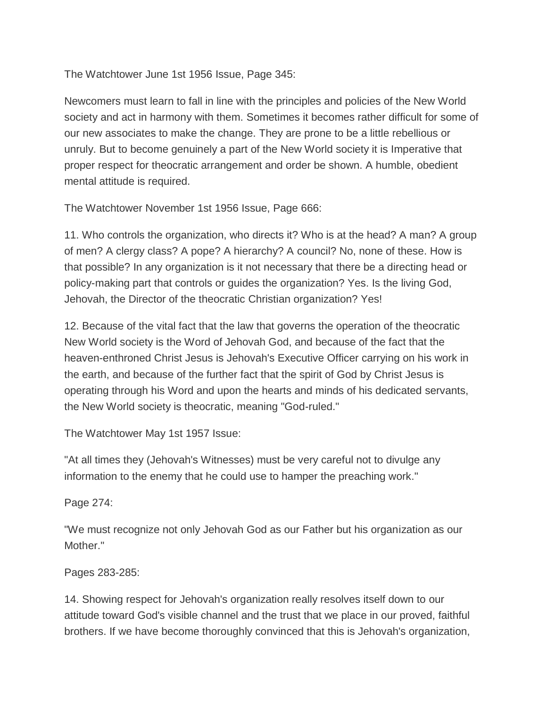The Watchtower June 1st 1956 Issue, Page 345:

Newcomers must learn to fall in line with the principles and policies of the New World society and act in harmony with them. Sometimes it becomes rather difficult for some of our new associates to make the change. They are prone to be a little rebellious or unruly. But to become genuinely a part of the New World society it is Imperative that proper respect for theocratic arrangement and order be shown. A humble, obedient mental attitude is required.

The Watchtower November 1st 1956 Issue, Page 666:

11. Who controls the organization, who directs it? Who is at the head? A man? A group of men? A clergy class? A pope? A hierarchy? A council? No, none of these. How is that possible? In any organization is it not necessary that there be a directing head or policy-making part that controls or guides the organization? Yes. Is the living God, Jehovah, the Director of the theocratic Christian organization? Yes!

12. Because of the vital fact that the law that governs the operation of the theocratic New World society is the Word of Jehovah God, and because of the fact that the heaven-enthroned Christ Jesus is Jehovah's Executive Officer carrying on his work in the earth, and because of the further fact that the spirit of God by Christ Jesus is operating through his Word and upon the hearts and minds of his dedicated servants, the New World society is theocratic, meaning "God-ruled."

The Watchtower May 1st 1957 Issue:

"At all times they (Jehovah's Witnesses) must be very careful not to divulge any information to the enemy that he could use to hamper the preaching work."

Page 274:

"We must recognize not only Jehovah God as our Father but his organization as our Mother."

# Pages 283-285:

14. Showing respect for Jehovah's organization really resolves itself down to our attitude toward God's visible channel and the trust that we place in our proved, faithful brothers. If we have become thoroughly convinced that this is Jehovah's organization,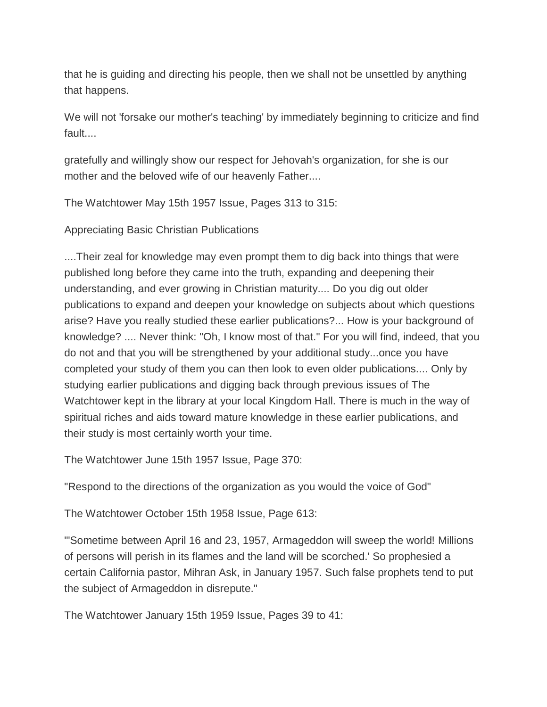that he is guiding and directing his people, then we shall not be unsettled by anything that happens.

We will not 'forsake our mother's teaching' by immediately beginning to criticize and find fault....

gratefully and willingly show our respect for Jehovah's organization, for she is our mother and the beloved wife of our heavenly Father....

The Watchtower May 15th 1957 Issue, Pages 313 to 315:

Appreciating Basic Christian Publications

....Their zeal for knowledge may even prompt them to dig back into things that were published long before they came into the truth, expanding and deepening their understanding, and ever growing in Christian maturity.... Do you dig out older publications to expand and deepen your knowledge on subjects about which questions arise? Have you really studied these earlier publications?... How is your background of knowledge? .... Never think: "Oh, I know most of that." For you will find, indeed, that you do not and that you will be strengthened by your additional study...once you have completed your study of them you can then look to even older publications.... Only by studying earlier publications and digging back through previous issues of The Watchtower kept in the library at your local Kingdom Hall. There is much in the way of spiritual riches and aids toward mature knowledge in these earlier publications, and their study is most certainly worth your time.

The Watchtower June 15th 1957 Issue, Page 370:

"Respond to the directions of the organization as you would the voice of God"

The Watchtower October 15th 1958 Issue, Page 613:

"'Sometime between April 16 and 23, 1957, Armageddon will sweep the world! Millions of persons will perish in its flames and the land will be scorched.' So prophesied a certain California pastor, Mihran Ask, in January 1957. Such false prophets tend to put the subject of Armageddon in disrepute."

The Watchtower January 15th 1959 Issue, Pages 39 to 41: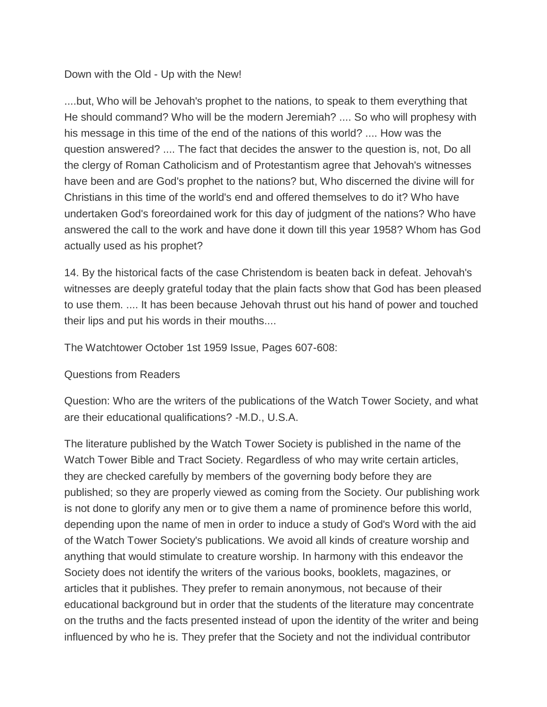## Down with the Old - Up with the New!

....but, Who will be Jehovah's prophet to the nations, to speak to them everything that He should command? Who will be the modern Jeremiah? .... So who will prophesy with his message in this time of the end of the nations of this world? .... How was the question answered? .... The fact that decides the answer to the question is, not, Do all the clergy of Roman Catholicism and of Protestantism agree that Jehovah's witnesses have been and are God's prophet to the nations? but, Who discerned the divine will for Christians in this time of the world's end and offered themselves to do it? Who have undertaken God's foreordained work for this day of judgment of the nations? Who have answered the call to the work and have done it down till this year 1958? Whom has God actually used as his prophet?

14. By the historical facts of the case Christendom is beaten back in defeat. Jehovah's witnesses are deeply grateful today that the plain facts show that God has been pleased to use them. .... It has been because Jehovah thrust out his hand of power and touched their lips and put his words in their mouths....

The Watchtower October 1st 1959 Issue, Pages 607-608:

#### Questions from Readers

Question: Who are the writers of the publications of the Watch Tower Society, and what are their educational qualifications? -M.D., U.S.A.

The literature published by the Watch Tower Society is published in the name of the Watch Tower Bible and Tract Society. Regardless of who may write certain articles, they are checked carefully by members of the governing body before they are published; so they are properly viewed as coming from the Society. Our publishing work is not done to glorify any men or to give them a name of prominence before this world, depending upon the name of men in order to induce a study of God's Word with the aid of the Watch Tower Society's publications. We avoid all kinds of creature worship and anything that would stimulate to creature worship. In harmony with this endeavor the Society does not identify the writers of the various books, booklets, magazines, or articles that it publishes. They prefer to remain anonymous, not because of their educational background but in order that the students of the literature may concentrate on the truths and the facts presented instead of upon the identity of the writer and being influenced by who he is. They prefer that the Society and not the individual contributor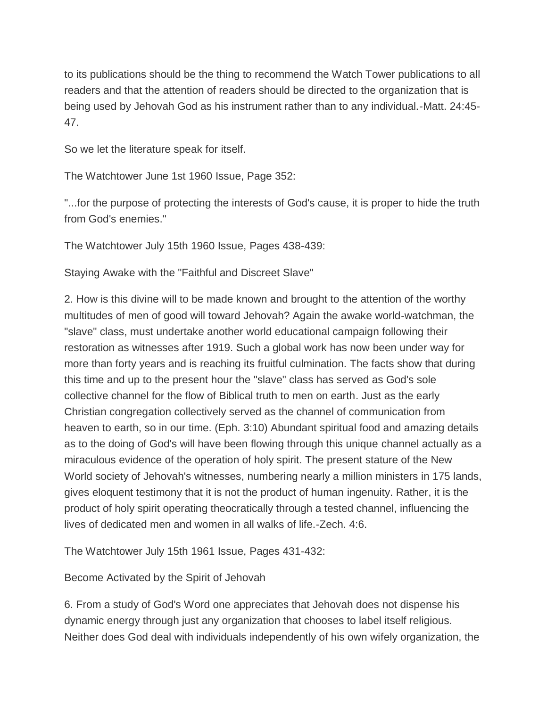to its publications should be the thing to recommend the Watch Tower publications to all readers and that the attention of readers should be directed to the organization that is being used by Jehovah God as his instrument rather than to any individual.-Matt. 24:45- 47.

So we let the literature speak for itself.

The Watchtower June 1st 1960 Issue, Page 352:

"...for the purpose of protecting the interests of God's cause, it is proper to hide the truth from God's enemies."

The Watchtower July 15th 1960 Issue, Pages 438-439:

Staying Awake with the "Faithful and Discreet Slave"

2. How is this divine will to be made known and brought to the attention of the worthy multitudes of men of good will toward Jehovah? Again the awake world-watchman, the "slave" class, must undertake another world educational campaign following their restoration as witnesses after 1919. Such a global work has now been under way for more than forty years and is reaching its fruitful culmination. The facts show that during this time and up to the present hour the "slave" class has served as God's sole collective channel for the flow of Biblical truth to men on earth. Just as the early Christian congregation collectively served as the channel of communication from heaven to earth, so in our time. (Eph. 3:10) Abundant spiritual food and amazing details as to the doing of God's will have been flowing through this unique channel actually as a miraculous evidence of the operation of holy spirit. The present stature of the New World society of Jehovah's witnesses, numbering nearly a million ministers in 175 lands, gives eloquent testimony that it is not the product of human ingenuity. Rather, it is the product of holy spirit operating theocratically through a tested channel, influencing the lives of dedicated men and women in all walks of life.-Zech. 4:6.

The Watchtower July 15th 1961 Issue, Pages 431-432:

Become Activated by the Spirit of Jehovah

6. From a study of God's Word one appreciates that Jehovah does not dispense his dynamic energy through just any organization that chooses to label itself religious. Neither does God deal with individuals independently of his own wifely organization, the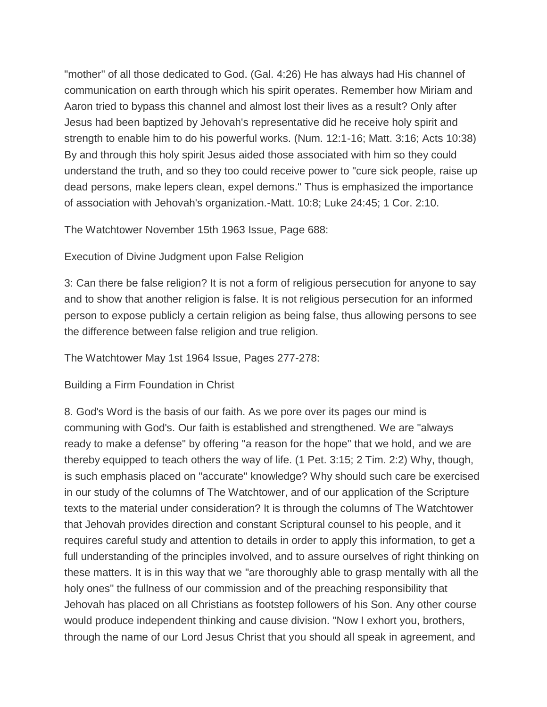"mother" of all those dedicated to God. (Gal. 4:26) He has always had His channel of communication on earth through which his spirit operates. Remember how Miriam and Aaron tried to bypass this channel and almost lost their lives as a result? Only after Jesus had been baptized by Jehovah's representative did he receive holy spirit and strength to enable him to do his powerful works. (Num. 12:1-16; Matt. 3:16; Acts 10:38) By and through this holy spirit Jesus aided those associated with him so they could understand the truth, and so they too could receive power to "cure sick people, raise up dead persons, make lepers clean, expel demons." Thus is emphasized the importance of association with Jehovah's organization.-Matt. 10:8; Luke 24:45; 1 Cor. 2:10.

The Watchtower November 15th 1963 Issue, Page 688:

Execution of Divine Judgment upon False Religion

3: Can there be false religion? It is not a form of religious persecution for anyone to say and to show that another religion is false. It is not religious persecution for an informed person to expose publicly a certain religion as being false, thus allowing persons to see the difference between false religion and true religion.

The Watchtower May 1st 1964 Issue, Pages 277-278:

Building a Firm Foundation in Christ

8. God's Word is the basis of our faith. As we pore over its pages our mind is communing with God's. Our faith is established and strengthened. We are "always ready to make a defense" by offering "a reason for the hope" that we hold, and we are thereby equipped to teach others the way of life. (1 Pet. 3:15; 2 Tim. 2:2) Why, though, is such emphasis placed on "accurate" knowledge? Why should such care be exercised in our study of the columns of The Watchtower, and of our application of the Scripture texts to the material under consideration? It is through the columns of The Watchtower that Jehovah provides direction and constant Scriptural counsel to his people, and it requires careful study and attention to details in order to apply this information, to get a full understanding of the principles involved, and to assure ourselves of right thinking on these matters. It is in this way that we "are thoroughly able to grasp mentally with all the holy ones" the fullness of our commission and of the preaching responsibility that Jehovah has placed on all Christians as footstep followers of his Son. Any other course would produce independent thinking and cause division. "Now I exhort you, brothers, through the name of our Lord Jesus Christ that you should all speak in agreement, and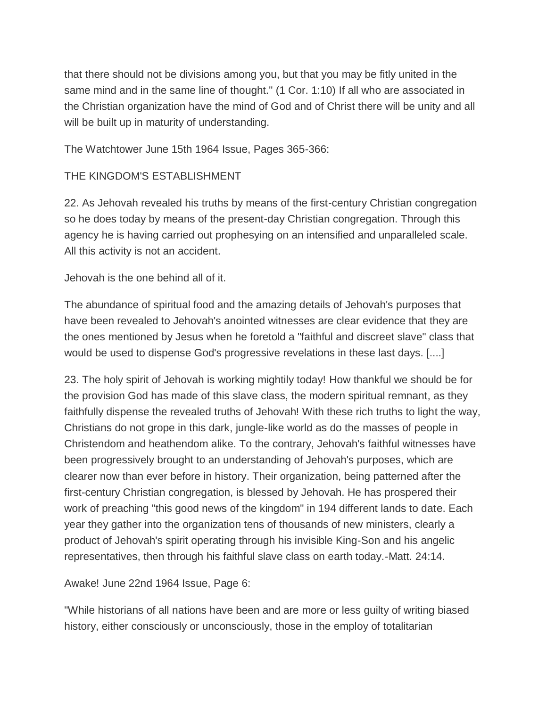that there should not be divisions among you, but that you may be fitly united in the same mind and in the same line of thought." (1 Cor. 1:10) If all who are associated in the Christian organization have the mind of God and of Christ there will be unity and all will be built up in maturity of understanding.

The Watchtower June 15th 1964 Issue, Pages 365-366:

# THE KINGDOM'S ESTABLISHMENT

22. As Jehovah revealed his truths by means of the first-century Christian congregation so he does today by means of the present-day Christian congregation. Through this agency he is having carried out prophesying on an intensified and unparalleled scale. All this activity is not an accident.

Jehovah is the one behind all of it.

The abundance of spiritual food and the amazing details of Jehovah's purposes that have been revealed to Jehovah's anointed witnesses are clear evidence that they are the ones mentioned by Jesus when he foretold a "faithful and discreet slave" class that would be used to dispense God's progressive revelations in these last days. [....]

23. The holy spirit of Jehovah is working mightily today! How thankful we should be for the provision God has made of this slave class, the modern spiritual remnant, as they faithfully dispense the revealed truths of Jehovah! With these rich truths to light the way, Christians do not grope in this dark, jungle-like world as do the masses of people in Christendom and heathendom alike. To the contrary, Jehovah's faithful witnesses have been progressively brought to an understanding of Jehovah's purposes, which are clearer now than ever before in history. Their organization, being patterned after the first-century Christian congregation, is blessed by Jehovah. He has prospered their work of preaching "this good news of the kingdom" in 194 different lands to date. Each year they gather into the organization tens of thousands of new ministers, clearly a product of Jehovah's spirit operating through his invisible King-Son and his angelic representatives, then through his faithful slave class on earth today.-Matt. 24:14.

Awake! June 22nd 1964 Issue, Page 6:

"While historians of all nations have been and are more or less guilty of writing biased history, either consciously or unconsciously, those in the employ of totalitarian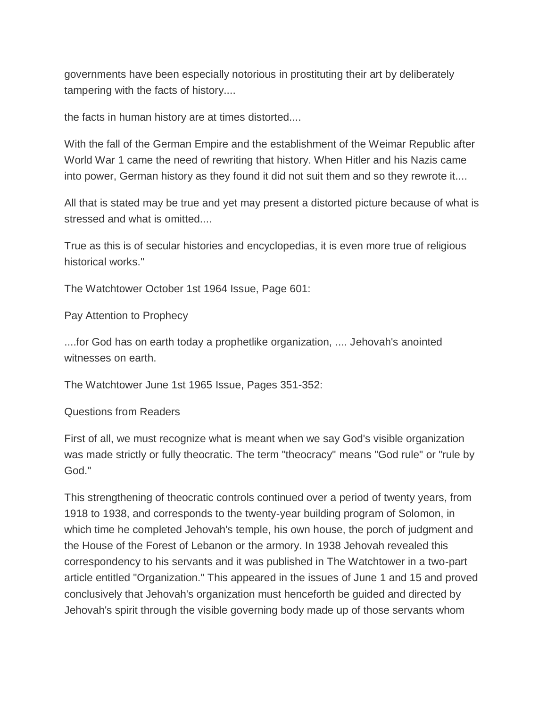governments have been especially notorious in prostituting their art by deliberately tampering with the facts of history....

the facts in human history are at times distorted....

With the fall of the German Empire and the establishment of the Weimar Republic after World War 1 came the need of rewriting that history. When Hitler and his Nazis came into power, German history as they found it did not suit them and so they rewrote it....

All that is stated may be true and yet may present a distorted picture because of what is stressed and what is omitted....

True as this is of secular histories and encyclopedias, it is even more true of religious historical works."

The Watchtower October 1st 1964 Issue, Page 601:

Pay Attention to Prophecy

....for God has on earth today a prophetlike organization, .... Jehovah's anointed witnesses on earth.

The Watchtower June 1st 1965 Issue, Pages 351-352:

Questions from Readers

First of all, we must recognize what is meant when we say God's visible organization was made strictly or fully theocratic. The term "theocracy" means "God rule" or "rule by God."

This strengthening of theocratic controls continued over a period of twenty years, from 1918 to 1938, and corresponds to the twenty-year building program of Solomon, in which time he completed Jehovah's temple, his own house, the porch of judgment and the House of the Forest of Lebanon or the armory. In 1938 Jehovah revealed this correspondency to his servants and it was published in The Watchtower in a two-part article entitled "Organization." This appeared in the issues of June 1 and 15 and proved conclusively that Jehovah's organization must henceforth be guided and directed by Jehovah's spirit through the visible governing body made up of those servants whom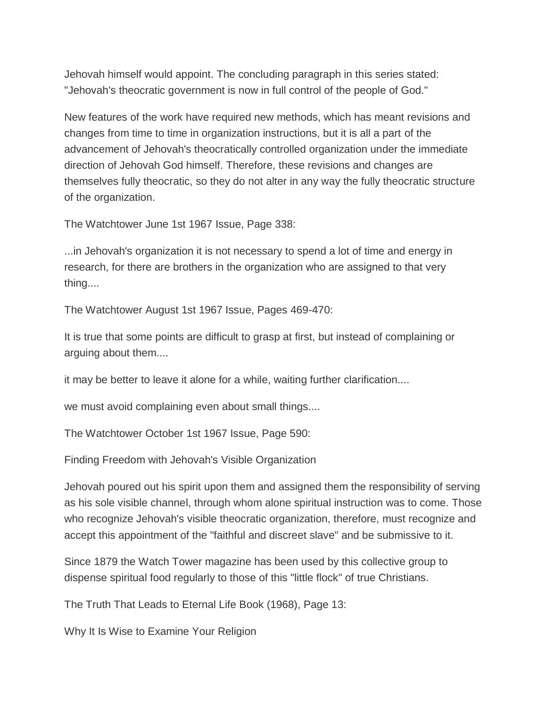Jehovah himself would appoint. The concluding paragraph in this series stated: "Jehovah's theocratic government is now in full control of the people of God."

New features of the work have required new methods, which has meant revisions and changes from time to time in organization instructions, but it is all a part of the advancement of Jehovah's theocratically controlled organization under the immediate direction of Jehovah God himself. Therefore, these revisions and changes are themselves fully theocratic, so they do not alter in any way the fully theocratic structure of the organization.

The Watchtower June 1st 1967 Issue, Page 338:

...in Jehovah's organization it is not necessary to spend a lot of time and energy in research, for there are brothers in the organization who are assigned to that very thing....

The Watchtower August 1st 1967 Issue, Pages 469-470:

It is true that some points are difficult to grasp at first, but instead of complaining or arguing about them....

it may be better to leave it alone for a while, waiting further clarification....

we must avoid complaining even about small things....

The Watchtower October 1st 1967 Issue, Page 590:

Finding Freedom with Jehovah's Visible Organization

Jehovah poured out his spirit upon them and assigned them the responsibility of serving as his sole visible channel, through whom alone spiritual instruction was to come. Those who recognize Jehovah's visible theocratic organization, therefore, must recognize and accept this appointment of the "faithful and discreet slave" and be submissive to it.

Since 1879 the Watch Tower magazine has been used by this collective group to dispense spiritual food regularly to those of this "little flock" of true Christians.

The Truth That Leads to Eternal Life Book (1968), Page 13:

Why It Is Wise to Examine Your Religion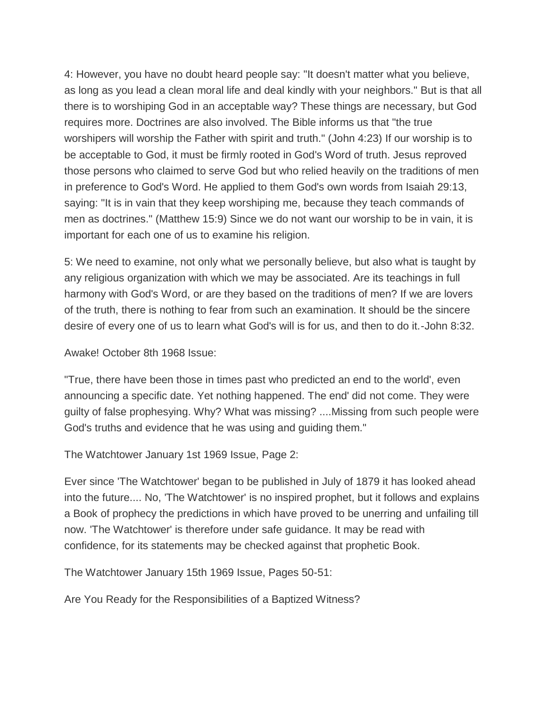4: However, you have no doubt heard people say: "It doesn't matter what you believe, as long as you lead a clean moral life and deal kindly with your neighbors." But is that all there is to worshiping God in an acceptable way? These things are necessary, but God requires more. Doctrines are also involved. The Bible informs us that "the true worshipers will worship the Father with spirit and truth." (John 4:23) If our worship is to be acceptable to God, it must be firmly rooted in God's Word of truth. Jesus reproved those persons who claimed to serve God but who relied heavily on the traditions of men in preference to God's Word. He applied to them God's own words from Isaiah 29:13, saying: "It is in vain that they keep worshiping me, because they teach commands of men as doctrines." (Matthew 15:9) Since we do not want our worship to be in vain, it is important for each one of us to examine his religion.

5: We need to examine, not only what we personally believe, but also what is taught by any religious organization with which we may be associated. Are its teachings in full harmony with God's Word, or are they based on the traditions of men? If we are lovers of the truth, there is nothing to fear from such an examination. It should be the sincere desire of every one of us to learn what God's will is for us, and then to do it.-John 8:32.

Awake! October 8th 1968 Issue:

"True, there have been those in times past who predicted an end to the world', even announcing a specific date. Yet nothing happened. The end' did not come. They were guilty of false prophesying. Why? What was missing? ....Missing from such people were God's truths and evidence that he was using and guiding them."

The Watchtower January 1st 1969 Issue, Page 2:

Ever since 'The Watchtower' began to be published in July of 1879 it has looked ahead into the future.... No, 'The Watchtower' is no inspired prophet, but it follows and explains a Book of prophecy the predictions in which have proved to be unerring and unfailing till now. 'The Watchtower' is therefore under safe guidance. It may be read with confidence, for its statements may be checked against that prophetic Book.

The Watchtower January 15th 1969 Issue, Pages 50-51:

Are You Ready for the Responsibilities of a Baptized Witness?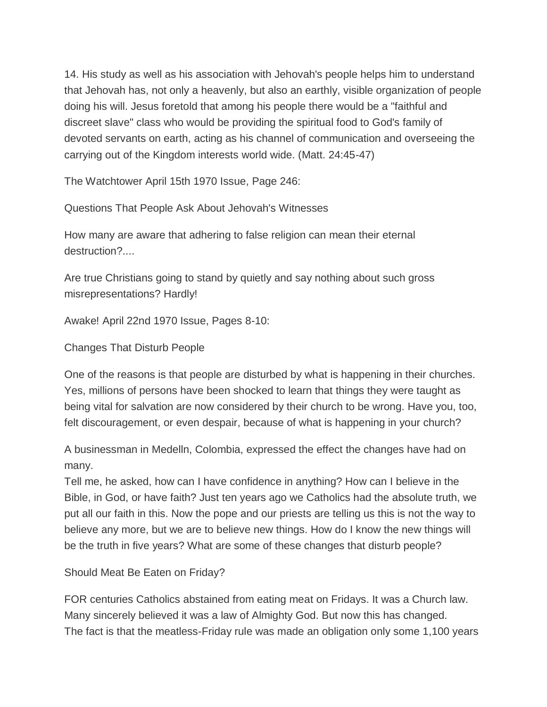14. His study as well as his association with Jehovah's people helps him to understand that Jehovah has, not only a heavenly, but also an earthly, visible organization of people doing his will. Jesus foretold that among his people there would be a "faithful and discreet slave" class who would be providing the spiritual food to God's family of devoted servants on earth, acting as his channel of communication and overseeing the carrying out of the Kingdom interests world wide. (Matt. 24:45-47)

The Watchtower April 15th 1970 Issue, Page 246:

Questions That People Ask About Jehovah's Witnesses

How many are aware that adhering to false religion can mean their eternal destruction?....

Are true Christians going to stand by quietly and say nothing about such gross misrepresentations? Hardly!

Awake! April 22nd 1970 Issue, Pages 8-10:

Changes That Disturb People

One of the reasons is that people are disturbed by what is happening in their churches. Yes, millions of persons have been shocked to learn that things they were taught as being vital for salvation are now considered by their church to be wrong. Have you, too, felt discouragement, or even despair, because of what is happening in your church?

A businessman in Medelln, Colombia, expressed the effect the changes have had on many.

Tell me, he asked, how can I have confidence in anything? How can I believe in the Bible, in God, or have faith? Just ten years ago we Catholics had the absolute truth, we put all our faith in this. Now the pope and our priests are telling us this is not the way to believe any more, but we are to believe new things. How do I know the new things will be the truth in five years? What are some of these changes that disturb people?

Should Meat Be Eaten on Friday?

FOR centuries Catholics abstained from eating meat on Fridays. It was a Church law. Many sincerely believed it was a law of Almighty God. But now this has changed. The fact is that the meatless-Friday rule was made an obligation only some 1,100 years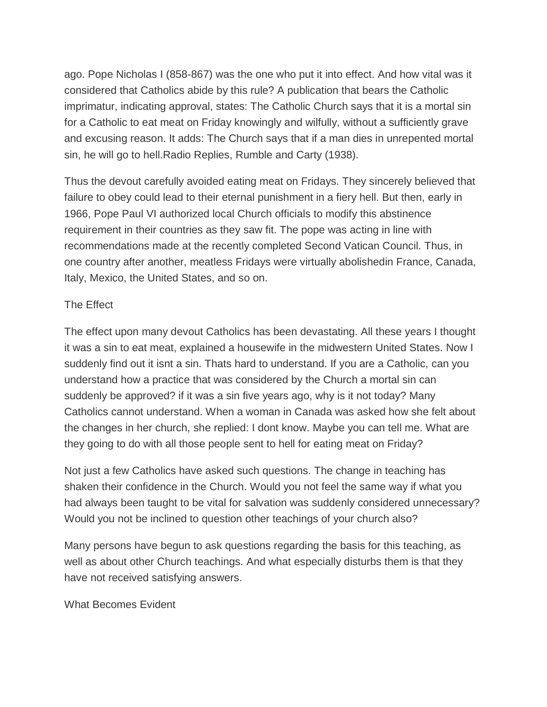ago. Pope Nicholas I (858-867) was the one who put it into effect. And how vital was it considered that Catholics abide by this rule? A publication that bears the Catholic imprimatur, indicating approval, states: The Catholic Church says that it is a mortal sin for a Catholic to eat meat on Friday knowingly and wilfully, without a sufficiently grave and excusing reason. It adds: The Church says that if a man dies in unrepented mortal sin, he will go to hell.Radio Replies, Rumble and Carty (1938).

Thus the devout carefully avoided eating meat on Fridays. They sincerely believed that failure to obey could lead to their eternal punishment in a fiery hell. But then, early in 1966, Pope Paul VI authorized local Church officials to modify this abstinence requirement in their countries as they saw fit. The pope was acting in line with recommendations made at the recently completed Second Vatican Council. Thus, in one country after another, meatless Fridays were virtually abolishedin France, Canada, Italy, Mexico, the United States, and so on.

## The Effect

The effect upon many devout Catholics has been devastating. All these years I thought it was a sin to eat meat, explained a housewife in the midwestern United States. Now I suddenly find out it isnt a sin. Thats hard to understand. If you are a Catholic, can you understand how a practice that was considered by the Church a mortal sin can suddenly be approved? if it was a sin five years ago, why is it not today? Many Catholics cannot understand. When a woman in Canada was asked how she felt about the changes in her church, she replied: I dont know. Maybe you can tell me. What are they going to do with all those people sent to hell for eating meat on Friday?

Not just a few Catholics have asked such questions. The change in teaching has shaken their confidence in the Church. Would you not feel the same way if what you had always been taught to be vital for salvation was suddenly considered unnecessary? Would you not be inclined to question other teachings of your church also?

Many persons have begun to ask questions regarding the basis for this teaching, as well as about other Church teachings. And what especially disturbs them is that they have not received satisfying answers.

What Becomes Evident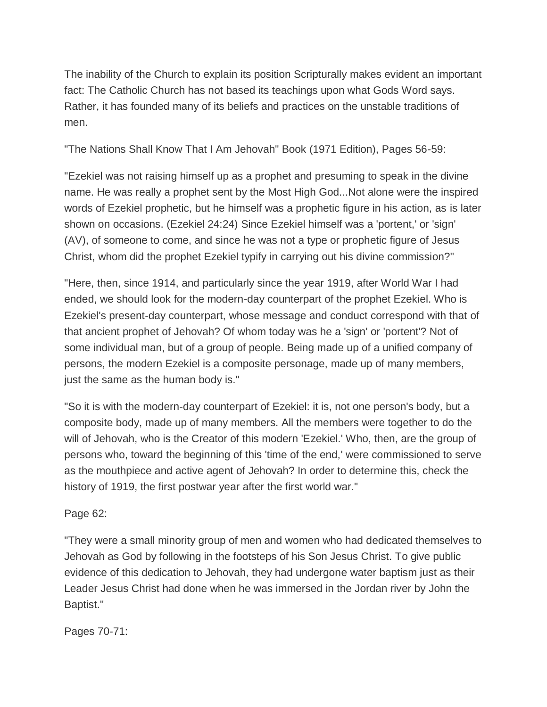The inability of the Church to explain its position Scripturally makes evident an important fact: The Catholic Church has not based its teachings upon what Gods Word says. Rather, it has founded many of its beliefs and practices on the unstable traditions of men.

"The Nations Shall Know That I Am Jehovah" Book (1971 Edition), Pages 56-59:

"Ezekiel was not raising himself up as a prophet and presuming to speak in the divine name. He was really a prophet sent by the Most High God...Not alone were the inspired words of Ezekiel prophetic, but he himself was a prophetic figure in his action, as is later shown on occasions. (Ezekiel 24:24) Since Ezekiel himself was a 'portent,' or 'sign' (AV), of someone to come, and since he was not a type or prophetic figure of Jesus Christ, whom did the prophet Ezekiel typify in carrying out his divine commission?"

"Here, then, since 1914, and particularly since the year 1919, after World War I had ended, we should look for the modern-day counterpart of the prophet Ezekiel. Who is Ezekiel's present-day counterpart, whose message and conduct correspond with that of that ancient prophet of Jehovah? Of whom today was he a 'sign' or 'portent'? Not of some individual man, but of a group of people. Being made up of a unified company of persons, the modern Ezekiel is a composite personage, made up of many members, just the same as the human body is."

"So it is with the modern-day counterpart of Ezekiel: it is, not one person's body, but a composite body, made up of many members. All the members were together to do the will of Jehovah, who is the Creator of this modern 'Ezekiel.' Who, then, are the group of persons who, toward the beginning of this 'time of the end,' were commissioned to serve as the mouthpiece and active agent of Jehovah? In order to determine this, check the history of 1919, the first postwar year after the first world war."

Page 62:

"They were a small minority group of men and women who had dedicated themselves to Jehovah as God by following in the footsteps of his Son Jesus Christ. To give public evidence of this dedication to Jehovah, they had undergone water baptism just as their Leader Jesus Christ had done when he was immersed in the Jordan river by John the Baptist."

Pages 70-71: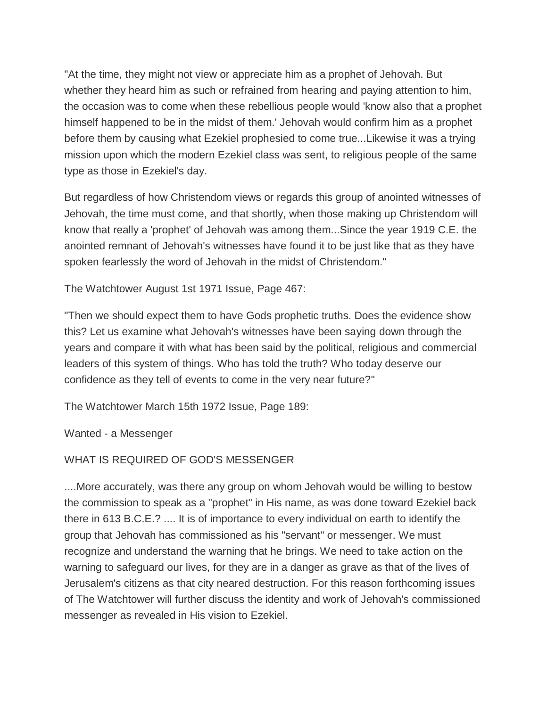"At the time, they might not view or appreciate him as a prophet of Jehovah. But whether they heard him as such or refrained from hearing and paying attention to him, the occasion was to come when these rebellious people would 'know also that a prophet himself happened to be in the midst of them.' Jehovah would confirm him as a prophet before them by causing what Ezekiel prophesied to come true...Likewise it was a trying mission upon which the modern Ezekiel class was sent, to religious people of the same type as those in Ezekiel's day.

But regardless of how Christendom views or regards this group of anointed witnesses of Jehovah, the time must come, and that shortly, when those making up Christendom will know that really a 'prophet' of Jehovah was among them...Since the year 1919 C.E. the anointed remnant of Jehovah's witnesses have found it to be just like that as they have spoken fearlessly the word of Jehovah in the midst of Christendom."

The Watchtower August 1st 1971 Issue, Page 467:

"Then we should expect them to have Gods prophetic truths. Does the evidence show this? Let us examine what Jehovah's witnesses have been saying down through the years and compare it with what has been said by the political, religious and commercial leaders of this system of things. Who has told the truth? Who today deserve our confidence as they tell of events to come in the very near future?"

The Watchtower March 15th 1972 Issue, Page 189:

Wanted - a Messenger

# WHAT IS REQUIRED OF GOD'S MESSENGER

....More accurately, was there any group on whom Jehovah would be willing to bestow the commission to speak as a "prophet" in His name, as was done toward Ezekiel back there in 613 B.C.E.? .... It is of importance to every individual on earth to identify the group that Jehovah has commissioned as his "servant" or messenger. We must recognize and understand the warning that he brings. We need to take action on the warning to safeguard our lives, for they are in a danger as grave as that of the lives of Jerusalem's citizens as that city neared destruction. For this reason forthcoming issues of The Watchtower will further discuss the identity and work of Jehovah's commissioned messenger as revealed in His vision to Ezekiel.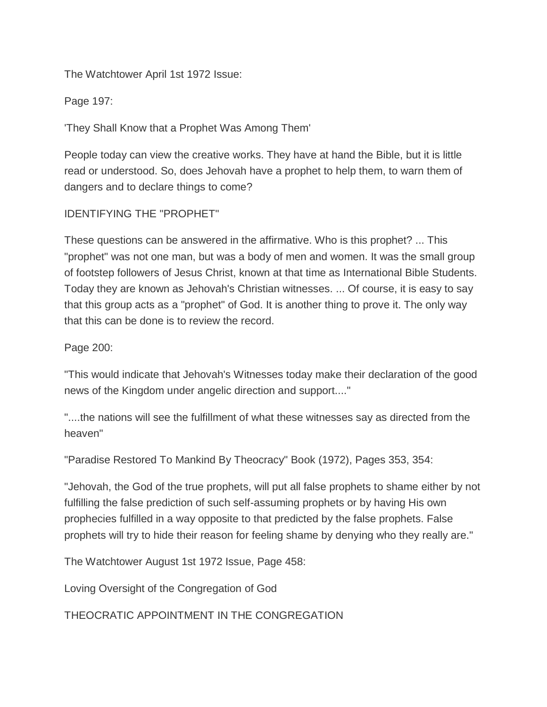The Watchtower April 1st 1972 Issue:

Page 197:

'They Shall Know that a Prophet Was Among Them'

People today can view the creative works. They have at hand the Bible, but it is little read or understood. So, does Jehovah have a prophet to help them, to warn them of dangers and to declare things to come?

## IDENTIFYING THE "PROPHET"

These questions can be answered in the affirmative. Who is this prophet? ... This "prophet" was not one man, but was a body of men and women. It was the small group of footstep followers of Jesus Christ, known at that time as International Bible Students. Today they are known as Jehovah's Christian witnesses. ... Of course, it is easy to say that this group acts as a "prophet" of God. It is another thing to prove it. The only way that this can be done is to review the record.

#### Page 200:

"This would indicate that Jehovah's Witnesses today make their declaration of the good news of the Kingdom under angelic direction and support...."

"....the nations will see the fulfillment of what these witnesses say as directed from the heaven"

"Paradise Restored To Mankind By Theocracy" Book (1972), Pages 353, 354:

"Jehovah, the God of the true prophets, will put all false prophets to shame either by not fulfilling the false prediction of such self-assuming prophets or by having His own prophecies fulfilled in a way opposite to that predicted by the false prophets. False prophets will try to hide their reason for feeling shame by denying who they really are."

The Watchtower August 1st 1972 Issue, Page 458:

Loving Oversight of the Congregation of God

THEOCRATIC APPOINTMENT IN THE CONGREGATION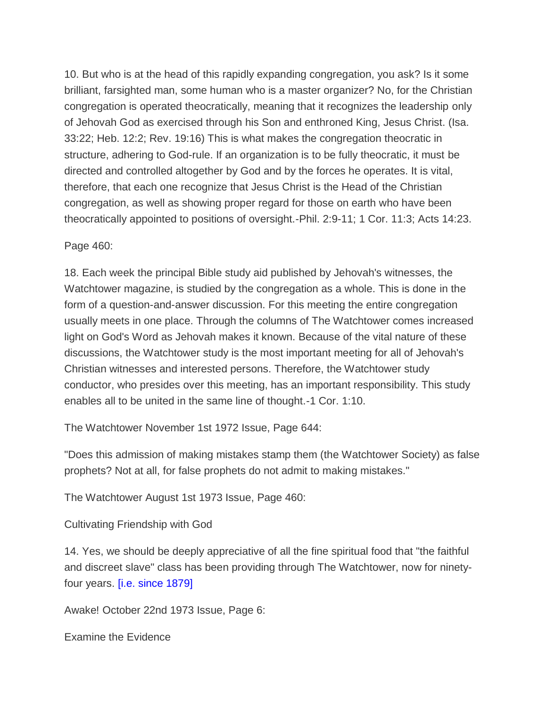10. But who is at the head of this rapidly expanding congregation, you ask? Is it some brilliant, farsighted man, some human who is a master organizer? No, for the Christian congregation is operated theocratically, meaning that it recognizes the leadership only of Jehovah God as exercised through his Son and enthroned King, Jesus Christ. (Isa. 33:22; Heb. 12:2; Rev. 19:16) This is what makes the congregation theocratic in structure, adhering to God-rule. If an organization is to be fully theocratic, it must be directed and controlled altogether by God and by the forces he operates. It is vital, therefore, that each one recognize that Jesus Christ is the Head of the Christian congregation, as well as showing proper regard for those on earth who have been theocratically appointed to positions of oversight.-Phil. 2:9-11; 1 Cor. 11:3; Acts 14:23.

Page 460:

18. Each week the principal Bible study aid published by Jehovah's witnesses, the Watchtower magazine, is studied by the congregation as a whole. This is done in the form of a question-and-answer discussion. For this meeting the entire congregation usually meets in one place. Through the columns of The Watchtower comes increased light on God's Word as Jehovah makes it known. Because of the vital nature of these discussions, the Watchtower study is the most important meeting for all of Jehovah's Christian witnesses and interested persons. Therefore, the Watchtower study conductor, who presides over this meeting, has an important responsibility. This study enables all to be united in the same line of thought.-1 Cor. 1:10.

The Watchtower November 1st 1972 Issue, Page 644:

"Does this admission of making mistakes stamp them (the Watchtower Society) as false prophets? Not at all, for false prophets do not admit to making mistakes."

The Watchtower August 1st 1973 Issue, Page 460:

Cultivating Friendship with God

14. Yes, we should be deeply appreciative of all the fine spiritual food that "the faithful and discreet slave" class has been providing through The Watchtower, now for ninetyfour years. [i.e. since 1879]

Awake! October 22nd 1973 Issue, Page 6:

Examine the Evidence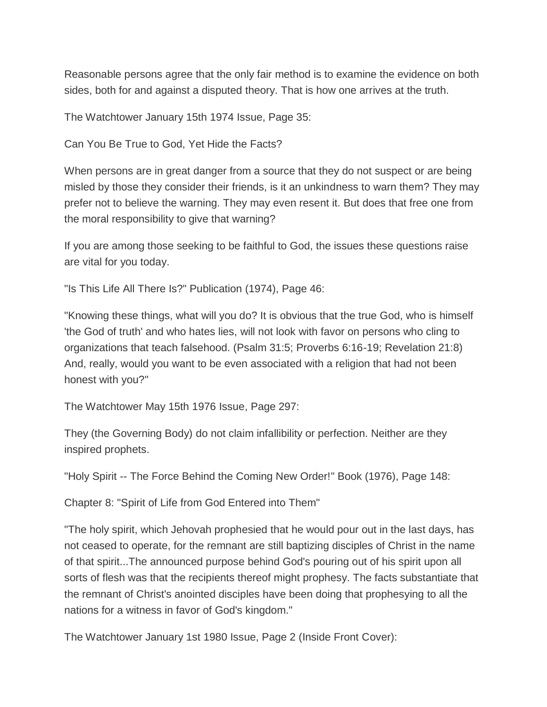Reasonable persons agree that the only fair method is to examine the evidence on both sides, both for and against a disputed theory. That is how one arrives at the truth.

The Watchtower January 15th 1974 Issue, Page 35:

Can You Be True to God, Yet Hide the Facts?

When persons are in great danger from a source that they do not suspect or are being misled by those they consider their friends, is it an unkindness to warn them? They may prefer not to believe the warning. They may even resent it. But does that free one from the moral responsibility to give that warning?

If you are among those seeking to be faithful to God, the issues these questions raise are vital for you today.

"Is This Life All There Is?" Publication (1974), Page 46:

"Knowing these things, what will you do? It is obvious that the true God, who is himself 'the God of truth' and who hates lies, will not look with favor on persons who cling to organizations that teach falsehood. (Psalm 31:5; Proverbs 6:16-19; Revelation 21:8) And, really, would you want to be even associated with a religion that had not been honest with you?"

The Watchtower May 15th 1976 Issue, Page 297:

They (the Governing Body) do not claim infallibility or perfection. Neither are they inspired prophets.

"Holy Spirit -- The Force Behind the Coming New Order!" Book (1976), Page 148:

Chapter 8: "Spirit of Life from God Entered into Them"

"The holy spirit, which Jehovah prophesied that he would pour out in the last days, has not ceased to operate, for the remnant are still baptizing disciples of Christ in the name of that spirit...The announced purpose behind God's pouring out of his spirit upon all sorts of flesh was that the recipients thereof might prophesy. The facts substantiate that the remnant of Christ's anointed disciples have been doing that prophesying to all the nations for a witness in favor of God's kingdom."

The Watchtower January 1st 1980 Issue, Page 2 (Inside Front Cover):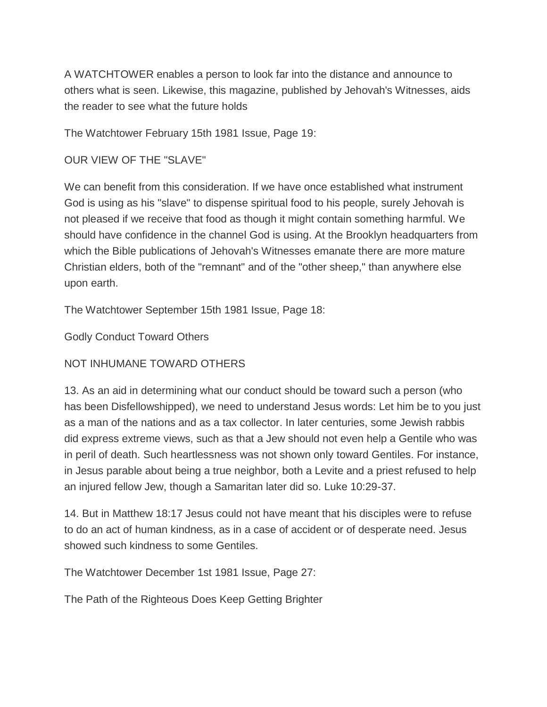A WATCHTOWER enables a person to look far into the distance and announce to others what is seen. Likewise, this magazine, published by Jehovah's Witnesses, aids the reader to see what the future holds

The Watchtower February 15th 1981 Issue, Page 19:

# OUR VIEW OF THE "SLAVE"

We can benefit from this consideration. If we have once established what instrument God is using as his "slave" to dispense spiritual food to his people, surely Jehovah is not pleased if we receive that food as though it might contain something harmful. We should have confidence in the channel God is using. At the Brooklyn headquarters from which the Bible publications of Jehovah's Witnesses emanate there are more mature Christian elders, both of the "remnant" and of the "other sheep," than anywhere else upon earth.

The Watchtower September 15th 1981 Issue, Page 18:

Godly Conduct Toward Others

NOT INHUMANE TOWARD OTHERS

13. As an aid in determining what our conduct should be toward such a person (who has been Disfellowshipped), we need to understand Jesus words: Let him be to you just as a man of the nations and as a tax collector. In later centuries, some Jewish rabbis did express extreme views, such as that a Jew should not even help a Gentile who was in peril of death. Such heartlessness was not shown only toward Gentiles. For instance, in Jesus parable about being a true neighbor, both a Levite and a priest refused to help an injured fellow Jew, though a Samaritan later did so. Luke 10:29-37.

14. But in Matthew 18:17 Jesus could not have meant that his disciples were to refuse to do an act of human kindness, as in a case of accident or of desperate need. Jesus showed such kindness to some Gentiles.

The Watchtower December 1st 1981 Issue, Page 27:

The Path of the Righteous Does Keep Getting Brighter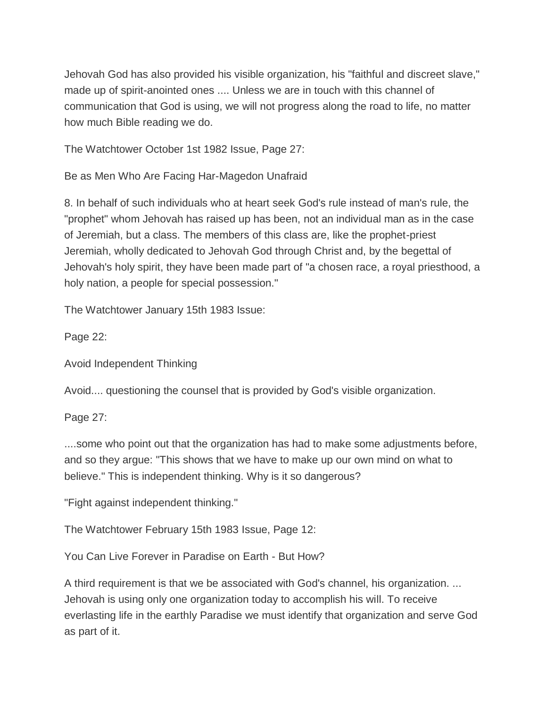Jehovah God has also provided his visible organization, his "faithful and discreet slave," made up of spirit-anointed ones .... Unless we are in touch with this channel of communication that God is using, we will not progress along the road to life, no matter how much Bible reading we do.

The Watchtower October 1st 1982 Issue, Page 27:

Be as Men Who Are Facing Har-Magedon Unafraid

8. In behalf of such individuals who at heart seek God's rule instead of man's rule, the "prophet" whom Jehovah has raised up has been, not an individual man as in the case of Jeremiah, but a class. The members of this class are, like the prophet-priest Jeremiah, wholly dedicated to Jehovah God through Christ and, by the begettal of Jehovah's holy spirit, they have been made part of "a chosen race, a royal priesthood, a holy nation, a people for special possession."

The Watchtower January 15th 1983 Issue:

Page 22:

Avoid Independent Thinking

Avoid.... questioning the counsel that is provided by God's visible organization.

Page 27:

....some who point out that the organization has had to make some adjustments before, and so they argue: "This shows that we have to make up our own mind on what to believe." This is independent thinking. Why is it so dangerous?

"Fight against independent thinking."

The Watchtower February 15th 1983 Issue, Page 12:

You Can Live Forever in Paradise on Earth - But How?

A third requirement is that we be associated with God's channel, his organization. ... Jehovah is using only one organization today to accomplish his will. To receive everlasting life in the earthly Paradise we must identify that organization and serve God as part of it.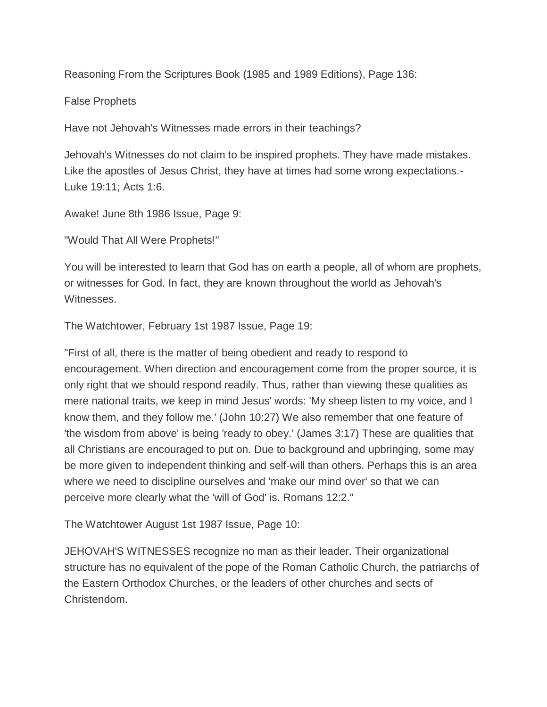Reasoning From the Scriptures Book (1985 and 1989 Editions), Page 136:

False Prophets

Have not Jehovah's Witnesses made errors in their teachings?

Jehovah's Witnesses do not claim to be inspired prophets. They have made mistakes. Like the apostles of Jesus Christ, they have at times had some wrong expectations.- Luke 19:11; Acts 1:6.

Awake! June 8th 1986 Issue, Page 9:

"Would That All Were Prophets!"

You will be interested to learn that God has on earth a people, all of whom are prophets, or witnesses for God. In fact, they are known throughout the world as Jehovah's Witnesses.

The Watchtower, February 1st 1987 Issue, Page 19:

"First of all, there is the matter of being obedient and ready to respond to encouragement. When direction and encouragement come from the proper source, it is only right that we should respond readily. Thus, rather than viewing these qualities as mere national traits, we keep in mind Jesus' words: 'My sheep listen to my voice, and I know them, and they follow me.' (John 10:27) We also remember that one feature of 'the wisdom from above' is being 'ready to obey.' (James 3:17) These are qualities that all Christians are encouraged to put on. Due to background and upbringing, some may be more given to independent thinking and self-will than others. Perhaps this is an area where we need to discipline ourselves and 'make our mind over' so that we can perceive more clearly what the 'will of God' is. Romans 12:2."

The Watchtower August 1st 1987 Issue, Page 10:

JEHOVAH'S WITNESSES recognize no man as their leader. Their organizational structure has no equivalent of the pope of the Roman Catholic Church, the patriarchs of the Eastern Orthodox Churches, or the leaders of other churches and sects of Christendom.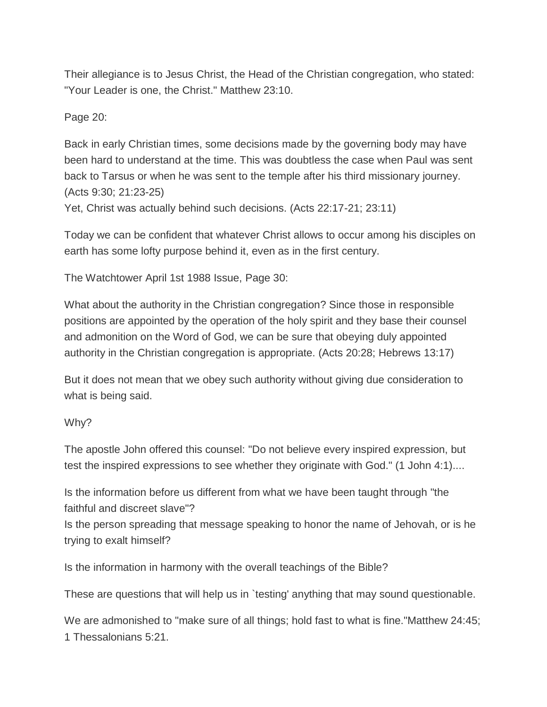Their allegiance is to Jesus Christ, the Head of the Christian congregation, who stated: "Your Leader is one, the Christ." Matthew 23:10.

Page 20:

Back in early Christian times, some decisions made by the governing body may have been hard to understand at the time. This was doubtless the case when Paul was sent back to Tarsus or when he was sent to the temple after his third missionary journey. (Acts 9:30; 21:23-25)

Yet, Christ was actually behind such decisions. (Acts 22:17-21; 23:11)

Today we can be confident that whatever Christ allows to occur among his disciples on earth has some lofty purpose behind it, even as in the first century.

The Watchtower April 1st 1988 Issue, Page 30:

What about the authority in the Christian congregation? Since those in responsible positions are appointed by the operation of the holy spirit and they base their counsel and admonition on the Word of God, we can be sure that obeying duly appointed authority in the Christian congregation is appropriate. (Acts 20:28; Hebrews 13:17)

But it does not mean that we obey such authority without giving due consideration to what is being said.

Why?

The apostle John offered this counsel: "Do not believe every inspired expression, but test the inspired expressions to see whether they originate with God." (1 John 4:1)....

Is the information before us different from what we have been taught through "the faithful and discreet slave"?

Is the person spreading that message speaking to honor the name of Jehovah, or is he trying to exalt himself?

Is the information in harmony with the overall teachings of the Bible?

These are questions that will help us in `testing' anything that may sound questionable.

We are admonished to "make sure of all things; hold fast to what is fine."Matthew 24:45; 1 Thessalonians 5:21.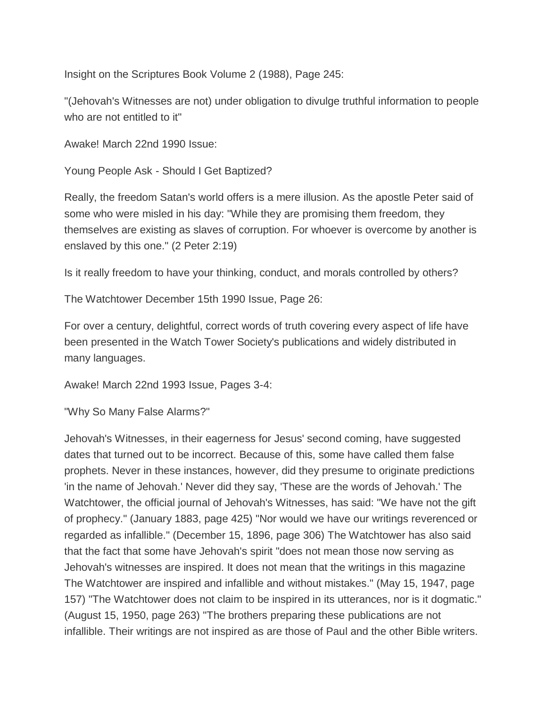Insight on the Scriptures Book Volume 2 (1988), Page 245:

"(Jehovah's Witnesses are not) under obligation to divulge truthful information to people who are not entitled to it"

Awake! March 22nd 1990 Issue:

Young People Ask - Should I Get Baptized?

Really, the freedom Satan's world offers is a mere illusion. As the apostle Peter said of some who were misled in his day: "While they are promising them freedom, they themselves are existing as slaves of corruption. For whoever is overcome by another is enslaved by this one." (2 Peter 2:19)

Is it really freedom to have your thinking, conduct, and morals controlled by others?

The Watchtower December 15th 1990 Issue, Page 26:

For over a century, delightful, correct words of truth covering every aspect of life have been presented in the Watch Tower Society's publications and widely distributed in many languages.

Awake! March 22nd 1993 Issue, Pages 3-4:

"Why So Many False Alarms?"

Jehovah's Witnesses, in their eagerness for Jesus' second coming, have suggested dates that turned out to be incorrect. Because of this, some have called them false prophets. Never in these instances, however, did they presume to originate predictions 'in the name of Jehovah.' Never did they say, 'These are the words of Jehovah.' The Watchtower, the official journal of Jehovah's Witnesses, has said: "We have not the gift of prophecy." (January 1883, page 425) "Nor would we have our writings reverenced or regarded as infallible." (December 15, 1896, page 306) The Watchtower has also said that the fact that some have Jehovah's spirit "does not mean those now serving as Jehovah's witnesses are inspired. It does not mean that the writings in this magazine The Watchtower are inspired and infallible and without mistakes." (May 15, 1947, page 157) "The Watchtower does not claim to be inspired in its utterances, nor is it dogmatic." (August 15, 1950, page 263) "The brothers preparing these publications are not infallible. Their writings are not inspired as are those of Paul and the other Bible writers.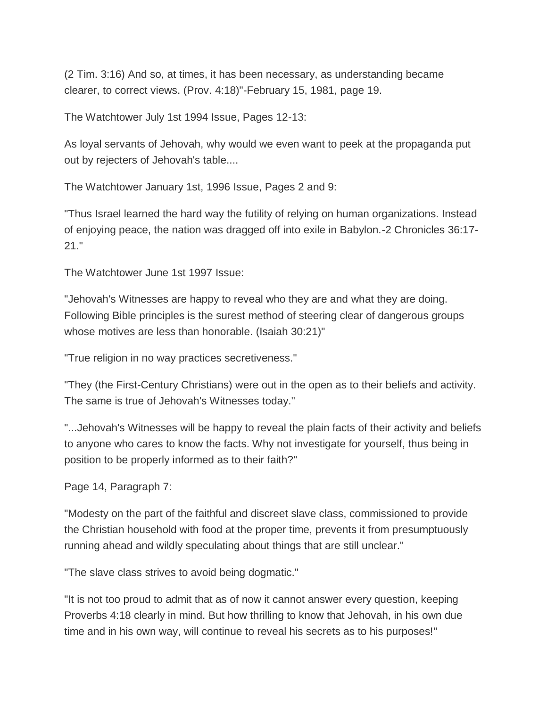(2 Tim. 3:16) And so, at times, it has been necessary, as understanding became clearer, to correct views. (Prov. 4:18)"-February 15, 1981, page 19.

The Watchtower July 1st 1994 Issue, Pages 12-13:

As loyal servants of Jehovah, why would we even want to peek at the propaganda put out by rejecters of Jehovah's table....

The Watchtower January 1st, 1996 Issue, Pages 2 and 9:

"Thus Israel learned the hard way the futility of relying on human organizations. Instead of enjoying peace, the nation was dragged off into exile in Babylon.-2 Chronicles 36:17- 21."

The Watchtower June 1st 1997 Issue:

"Jehovah's Witnesses are happy to reveal who they are and what they are doing. Following Bible principles is the surest method of steering clear of dangerous groups whose motives are less than honorable. (Isaiah 30:21)"

"True religion in no way practices secretiveness."

"They (the First-Century Christians) were out in the open as to their beliefs and activity. The same is true of Jehovah's Witnesses today."

"...Jehovah's Witnesses will be happy to reveal the plain facts of their activity and beliefs to anyone who cares to know the facts. Why not investigate for yourself, thus being in position to be properly informed as to their faith?"

Page 14, Paragraph 7:

"Modesty on the part of the faithful and discreet slave class, commissioned to provide the Christian household with food at the proper time, prevents it from presumptuously running ahead and wildly speculating about things that are still unclear."

"The slave class strives to avoid being dogmatic."

"It is not too proud to admit that as of now it cannot answer every question, keeping Proverbs 4:18 clearly in mind. But how thrilling to know that Jehovah, in his own due time and in his own way, will continue to reveal his secrets as to his purposes!"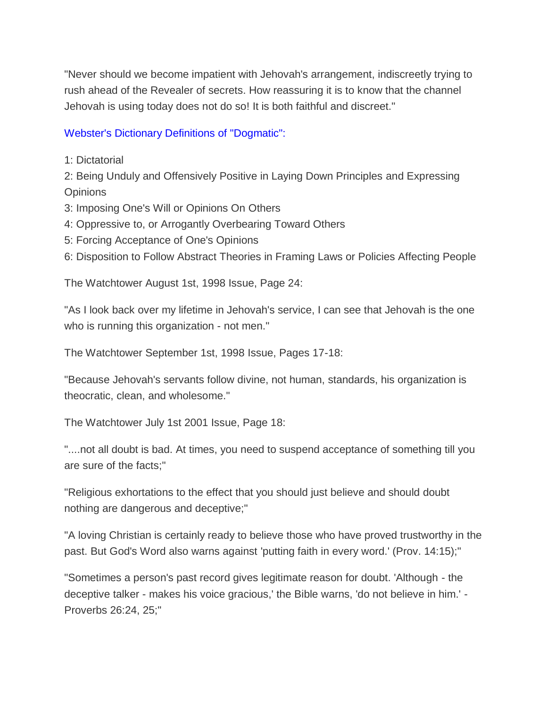"Never should we become impatient with Jehovah's arrangement, indiscreetly trying to rush ahead of the Revealer of secrets. How reassuring it is to know that the channel Jehovah is using today does not do so! It is both faithful and discreet."

## Webster's Dictionary Definitions of "Dogmatic":

1: Dictatorial

2: Being Unduly and Offensively Positive in Laying Down Principles and Expressing **Opinions** 

- 3: Imposing One's Will or Opinions On Others
- 4: Oppressive to, or Arrogantly Overbearing Toward Others
- 5: Forcing Acceptance of One's Opinions

6: Disposition to Follow Abstract Theories in Framing Laws or Policies Affecting People

The Watchtower August 1st, 1998 Issue, Page 24:

"As I look back over my lifetime in Jehovah's service, I can see that Jehovah is the one who is running this organization - not men."

The Watchtower September 1st, 1998 Issue, Pages 17-18:

"Because Jehovah's servants follow divine, not human, standards, his organization is theocratic, clean, and wholesome."

The Watchtower July 1st 2001 Issue, Page 18:

"....not all doubt is bad. At times, you need to suspend acceptance of something till you are sure of the facts;"

"Religious exhortations to the effect that you should just believe and should doubt nothing are dangerous and deceptive;"

"A loving Christian is certainly ready to believe those who have proved trustworthy in the past. But God's Word also warns against 'putting faith in every word.' (Prov. 14:15);"

"Sometimes a person's past record gives legitimate reason for doubt. 'Although - the deceptive talker - makes his voice gracious,' the Bible warns, 'do not believe in him.' - Proverbs 26:24, 25;"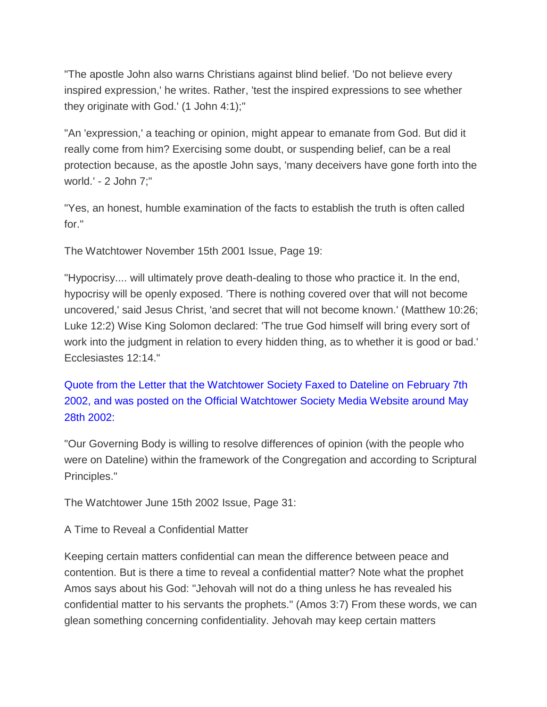"The apostle John also warns Christians against blind belief. 'Do not believe every inspired expression,' he writes. Rather, 'test the inspired expressions to see whether they originate with God.' (1 John 4:1);"

"An 'expression,' a teaching or opinion, might appear to emanate from God. But did it really come from him? Exercising some doubt, or suspending belief, can be a real protection because, as the apostle John says, 'many deceivers have gone forth into the world.' - 2 John 7;"

"Yes, an honest, humble examination of the facts to establish the truth is often called for."

The Watchtower November 15th 2001 Issue, Page 19:

"Hypocrisy.... will ultimately prove death-dealing to those who practice it. In the end, hypocrisy will be openly exposed. 'There is nothing covered over that will not become uncovered,' said Jesus Christ, 'and secret that will not become known.' (Matthew 10:26; Luke 12:2) Wise King Solomon declared: 'The true God himself will bring every sort of work into the judgment in relation to every hidden thing, as to whether it is good or bad.' Ecclesiastes 12:14."

Quote from the Letter that the Watchtower Society Faxed to Dateline on February 7th 2002, and was posted on the Official Watchtower Society Media Website around May 28th 2002:

"Our Governing Body is willing to resolve differences of opinion (with the people who were on Dateline) within the framework of the Congregation and according to Scriptural Principles."

The Watchtower June 15th 2002 Issue, Page 31:

A Time to Reveal a Confidential Matter

Keeping certain matters confidential can mean the difference between peace and contention. But is there a time to reveal a confidential matter? Note what the prophet Amos says about his God: "Jehovah will not do a thing unless he has revealed his confidential matter to his servants the prophets." (Amos 3:7) From these words, we can glean something concerning confidentiality. Jehovah may keep certain matters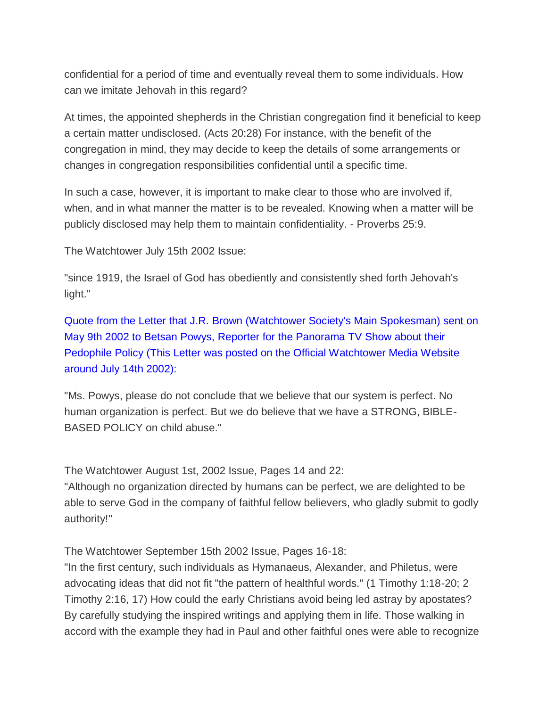confidential for a period of time and eventually reveal them to some individuals. How can we imitate Jehovah in this regard?

At times, the appointed shepherds in the Christian congregation find it beneficial to keep a certain matter undisclosed. (Acts 20:28) For instance, with the benefit of the congregation in mind, they may decide to keep the details of some arrangements or changes in congregation responsibilities confidential until a specific time.

In such a case, however, it is important to make clear to those who are involved if, when, and in what manner the matter is to be revealed. Knowing when a matter will be publicly disclosed may help them to maintain confidentiality. - Proverbs 25:9.

The Watchtower July 15th 2002 Issue:

"since 1919, the Israel of God has obediently and consistently shed forth Jehovah's light."

Quote from the Letter that J.R. Brown (Watchtower Society's Main Spokesman) sent on May 9th 2002 to Betsan Powys, Reporter for the Panorama TV Show about their Pedophile Policy (This Letter was posted on the Official Watchtower Media Website around July 14th 2002):

"Ms. Powys, please do not conclude that we believe that our system is perfect. No human organization is perfect. But we do believe that we have a STRONG, BIBLE-BASED POLICY on child abuse."

The Watchtower August 1st, 2002 Issue, Pages 14 and 22:

"Although no organization directed by humans can be perfect, we are delighted to be able to serve God in the company of faithful fellow believers, who gladly submit to godly authority!"

The Watchtower September 15th 2002 Issue, Pages 16-18:

"In the first century, such individuals as Hymanaeus, Alexander, and Philetus, were advocating ideas that did not fit "the pattern of healthful words." (1 Timothy 1:18-20; 2 Timothy 2:16, 17) How could the early Christians avoid being led astray by apostates? By carefully studying the inspired writings and applying them in life. Those walking in accord with the example they had in Paul and other faithful ones were able to recognize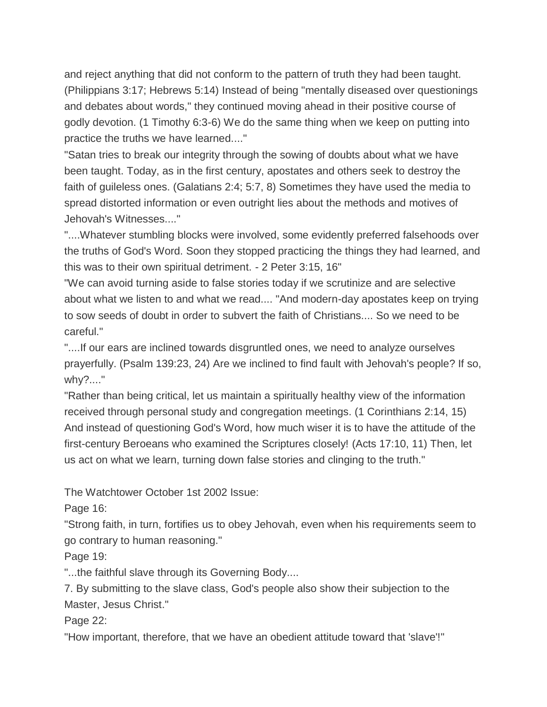and reject anything that did not conform to the pattern of truth they had been taught. (Philippians 3:17; Hebrews 5:14) Instead of being "mentally diseased over questionings and debates about words," they continued moving ahead in their positive course of godly devotion. (1 Timothy 6:3-6) We do the same thing when we keep on putting into practice the truths we have learned...."

"Satan tries to break our integrity through the sowing of doubts about what we have been taught. Today, as in the first century, apostates and others seek to destroy the faith of guileless ones. (Galatians 2:4; 5:7, 8) Sometimes they have used the media to spread distorted information or even outright lies about the methods and motives of Jehovah's Witnesses...."

"....Whatever stumbling blocks were involved, some evidently preferred falsehoods over the truths of God's Word. Soon they stopped practicing the things they had learned, and this was to their own spiritual detriment. - 2 Peter 3:15, 16"

"We can avoid turning aside to false stories today if we scrutinize and are selective about what we listen to and what we read.... "And modern-day apostates keep on trying to sow seeds of doubt in order to subvert the faith of Christians.... So we need to be careful."

"....If our ears are inclined towards disgruntled ones, we need to analyze ourselves prayerfully. (Psalm 139:23, 24) Are we inclined to find fault with Jehovah's people? If so, why?...."

"Rather than being critical, let us maintain a spiritually healthy view of the information received through personal study and congregation meetings. (1 Corinthians 2:14, 15) And instead of questioning God's Word, how much wiser it is to have the attitude of the first-century Beroeans who examined the Scriptures closely! (Acts 17:10, 11) Then, let us act on what we learn, turning down false stories and clinging to the truth."

The Watchtower October 1st 2002 Issue:

Page 16:

"Strong faith, in turn, fortifies us to obey Jehovah, even when his requirements seem to go contrary to human reasoning."

Page 19:

"...the faithful slave through its Governing Body....

7. By submitting to the slave class, God's people also show their subjection to the Master, Jesus Christ."

Page 22:

"How important, therefore, that we have an obedient attitude toward that 'slave'!"